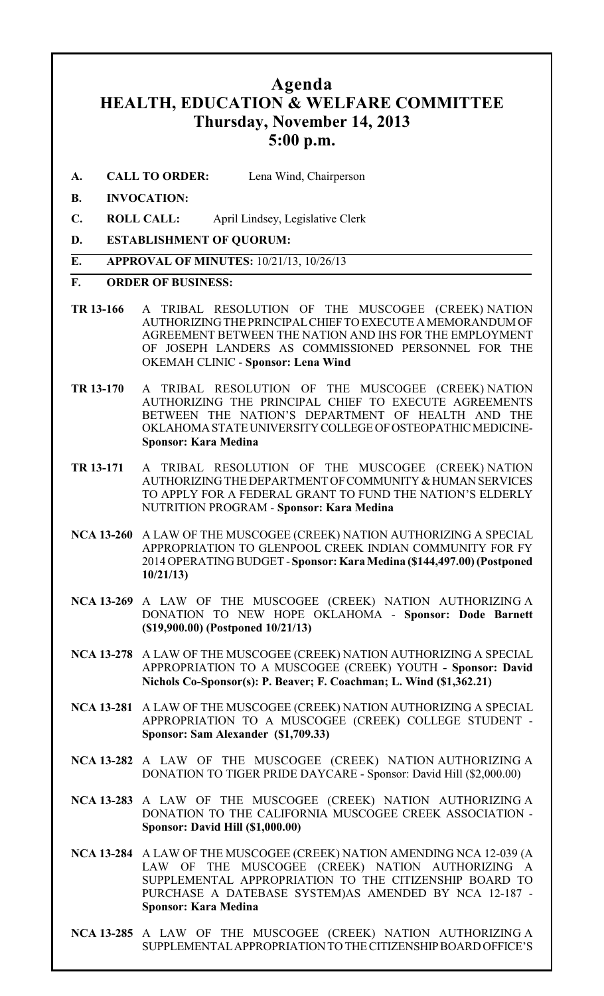### **Agenda HEALTH, EDUCATION & WELFARE COMMITTEE Thursday, November 14, 2013 5:00 p.m.**

- **A. CALL TO ORDER:** Lena Wind, Chairperson
- **B. INVOCATION:**
- **C. ROLL CALL:** April Lindsey, Legislative Clerk
- **D. ESTABLISHMENT OF QUORUM:**

#### **E. APPROVAL OF MINUTES:** 10/21/13, 10/26/13

#### **F. ORDER OF BUSINESS:**

- **TR 13-166** A TRIBAL RESOLUTION OF THE MUSCOGEE (CREEK) NATION AUTHORIZING THE PRINCIPAL CHIEF TO EXECUTE A MEMORANDUM OF AGREEMENT BETWEEN THE NATION AND IHS FOR THE EMPLOYMENT OF JOSEPH LANDERS AS COMMISSIONED PERSONNEL FOR THE OKEMAH CLINIC - **Sponsor: Lena Wind**
- **TR 13-170** A TRIBAL RESOLUTION OF THE MUSCOGEE (CREEK) NATION AUTHORIZING THE PRINCIPAL CHIEF TO EXECUTE AGREEMENTS BETWEEN THE NATION'S DEPARTMENT OF HEALTH AND THE OKLAHOMA STATE UNIVERSITY COLLEGE OF OSTEOPATHIC MEDICINE-**Sponsor: Kara Medina**
- **TR 13-171** A TRIBAL RESOLUTION OF THE MUSCOGEE (CREEK) NATION AUTHORIZING THE DEPARTMENT OF COMMUNITY & HUMAN SERVICES TO APPLY FOR A FEDERAL GRANT TO FUND THE NATION'S ELDERLY NUTRITION PROGRAM - **Sponsor: Kara Medina**
- **NCA 13-260** A LAW OF THE MUSCOGEE (CREEK) NATION AUTHORIZING A SPECIAL APPROPRIATION TO GLENPOOL CREEK INDIAN COMMUNITY FOR FY 2014 OPERATING BUDGET -**Sponsor: Kara Medina (\$144,497.00) (Postponed 10/21/13)**
- **NCA 13-269** A LAW OF THE MUSCOGEE (CREEK) NATION AUTHORIZING A DONATION TO NEW HOPE OKLAHOMA - **Sponsor: Dode Barnett (\$19,900.00) (Postponed 10/21/13)**
- **NCA 13-278** A LAW OF THE MUSCOGEE (CREEK) NATION AUTHORIZING A SPECIAL APPROPRIATION TO A MUSCOGEE (CREEK) YOUTH **- Sponsor: David Nichols Co-Sponsor(s): P. Beaver; F. Coachman; L. Wind (\$1,362.21)**
- **NCA 13-281** A LAW OF THE MUSCOGEE (CREEK) NATION AUTHORIZING A SPECIAL APPROPRIATION TO A MUSCOGEE (CREEK) COLLEGE STUDENT - **Sponsor: Sam Alexander (\$1,709.33)**
- **NCA 13-282** A LAW OF THE MUSCOGEE (CREEK) NATION AUTHORIZING A DONATION TO TIGER PRIDE DAYCARE - Sponsor: David Hill (\$2,000.00)
- **NCA 13-283** A LAW OF THE MUSCOGEE (CREEK) NATION AUTHORIZING A DONATION TO THE CALIFORNIA MUSCOGEE CREEK ASSOCIATION - **Sponsor: David Hill (\$1,000.00)**
- **NCA 13-284** A LAW OF THE MUSCOGEE (CREEK) NATION AMENDING NCA 12-039 (A LAW OF THE MUSCOGEE (CREEK) NATION AUTHORIZING A SUPPLEMENTAL APPROPRIATION TO THE CITIZENSHIP BOARD TO PURCHASE A DATEBASE SYSTEM)AS AMENDED BY NCA 12-187 - **Sponsor: Kara Medina**
- **NCA 13-285** A LAW OF THE MUSCOGEE (CREEK) NATION AUTHORIZING A SUPPLEMENTAL APPROPRIATION TO THE CITIZENSHIP BOARD OFFICE'S